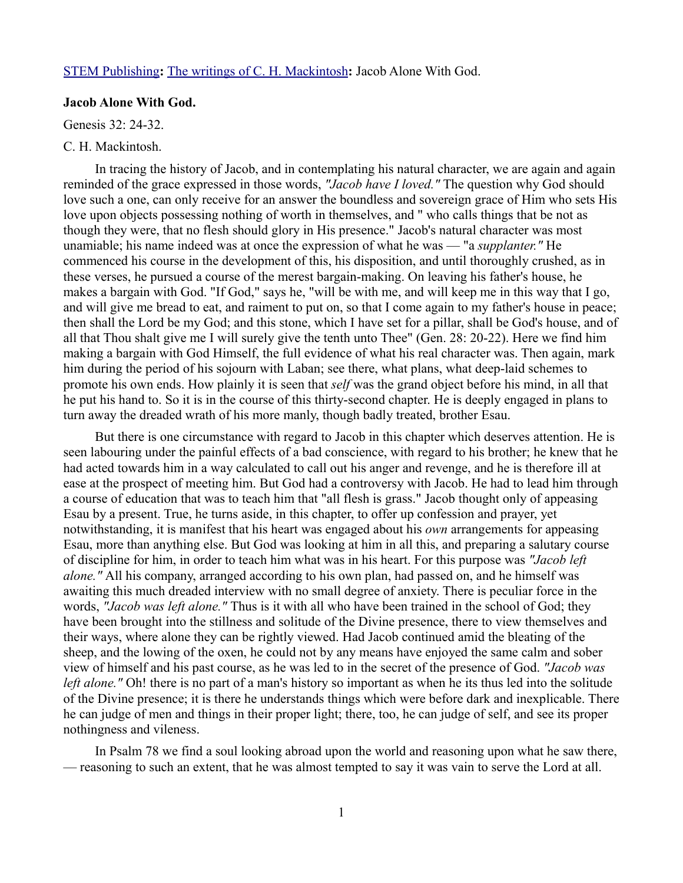## [STEM Publishing](http://www.stempublishing.com/)**:** [The writings of C. H. Mackintosh](http://www.stempublishing.com/authors/mackintosh/index.html)**:** Jacob Alone With God.

## **Jacob Alone With God.**

Genesis 32: 24-32.

## C. H. Mackintosh.

In tracing the history of Jacob, and in contemplating his natural character, we are again and again reminded of the grace expressed in those words, *"Jacob have I loved."* The question why God should love such a one, can only receive for an answer the boundless and sovereign grace of Him who sets His love upon objects possessing nothing of worth in themselves, and " who calls things that be not as though they were, that no flesh should glory in His presence." Jacob's natural character was most unamiable; his name indeed was at once the expression of what he was — "a *supplanter."* He commenced his course in the development of this, his disposition, and until thoroughly crushed, as in these verses, he pursued a course of the merest bargain-making. On leaving his father's house, he makes a bargain with God. "If God," says he, "will be with me, and will keep me in this way that I go, and will give me bread to eat, and raiment to put on, so that I come again to my father's house in peace; then shall the Lord be my God; and this stone, which I have set for a pillar, shall be God's house, and of all that Thou shalt give me I will surely give the tenth unto Thee" (Gen. 28: 20-22). Here we find him making a bargain with God Himself, the full evidence of what his real character was. Then again, mark him during the period of his sojourn with Laban; see there, what plans, what deep-laid schemes to promote his own ends. How plainly it is seen that *self* was the grand object before his mind, in all that he put his hand to. So it is in the course of this thirty-second chapter. He is deeply engaged in plans to turn away the dreaded wrath of his more manly, though badly treated, brother Esau.

But there is one circumstance with regard to Jacob in this chapter which deserves attention. He is seen labouring under the painful effects of a bad conscience, with regard to his brother; he knew that he had acted towards him in a way calculated to call out his anger and revenge, and he is therefore ill at ease at the prospect of meeting him. But God had a controversy with Jacob. He had to lead him through a course of education that was to teach him that "all flesh is grass." Jacob thought only of appeasing Esau by a present. True, he turns aside, in this chapter, to offer up confession and prayer, yet notwithstanding, it is manifest that his heart was engaged about his *own* arrangements for appeasing Esau, more than anything else. But God was looking at him in all this, and preparing a salutary course of discipline for him, in order to teach him what was in his heart. For this purpose was *"Jacob left alone."* All his company, arranged according to his own plan, had passed on, and he himself was awaiting this much dreaded interview with no small degree of anxiety. There is peculiar force in the words, *"Jacob was left alone."* Thus is it with all who have been trained in the school of God; they have been brought into the stillness and solitude of the Divine presence, there to view themselves and their ways, where alone they can be rightly viewed. Had Jacob continued amid the bleating of the sheep, and the lowing of the oxen, he could not by any means have enjoyed the same calm and sober view of himself and his past course, as he was led to in the secret of the presence of God. *"Jacob was left alone."* Oh! there is no part of a man's history so important as when he its thus led into the solitude of the Divine presence; it is there he understands things which were before dark and inexplicable. There he can judge of men and things in their proper light; there, too, he can judge of self, and see its proper nothingness and vileness.

In Psalm 78 we find a soul looking abroad upon the world and reasoning upon what he saw there, — reasoning to such an extent, that he was almost tempted to say it was vain to serve the Lord at all.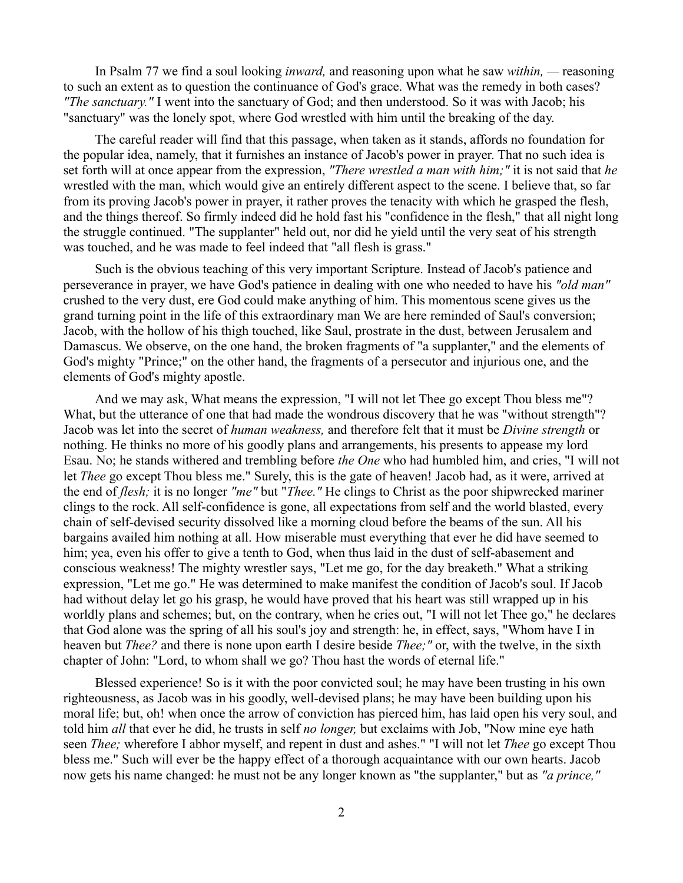In Psalm 77 we find a soul looking *inward,* and reasoning upon what he saw *within, —* reasoning to such an extent as to question the continuance of God's grace. What was the remedy in both cases? *"The sanctuary."* I went into the sanctuary of God; and then understood. So it was with Jacob; his "sanctuary" was the lonely spot, where God wrestled with him until the breaking of the day.

The careful reader will find that this passage, when taken as it stands, affords no foundation for the popular idea, namely, that it furnishes an instance of Jacob's power in prayer. That no such idea is set forth will at once appear from the expression, *"There wrestled a man with him;"* it is not said that *he* wrestled with the man, which would give an entirely different aspect to the scene. I believe that, so far from its proving Jacob's power in prayer, it rather proves the tenacity with which he grasped the flesh, and the things thereof. So firmly indeed did he hold fast his "confidence in the flesh," that all night long the struggle continued. "The supplanter" held out, nor did he yield until the very seat of his strength was touched, and he was made to feel indeed that "all flesh is grass."

Such is the obvious teaching of this very important Scripture. Instead of Jacob's patience and perseverance in prayer, we have God's patience in dealing with one who needed to have his *"old man"* crushed to the very dust, ere God could make anything of him. This momentous scene gives us the grand turning point in the life of this extraordinary man We are here reminded of Saul's conversion; Jacob, with the hollow of his thigh touched, like Saul, prostrate in the dust, between Jerusalem and Damascus. We observe, on the one hand, the broken fragments of "a supplanter," and the elements of God's mighty "Prince;" on the other hand, the fragments of a persecutor and injurious one, and the elements of God's mighty apostle.

And we may ask, What means the expression, "I will not let Thee go except Thou bless me"? What, but the utterance of one that had made the wondrous discovery that he was "without strength"? Jacob was let into the secret of *human weakness,* and therefore felt that it must be *Divine strength* or nothing. He thinks no more of his goodly plans and arrangements, his presents to appease my lord Esau. No; he stands withered and trembling before *the One* who had humbled him, and cries, "I will not let *Thee* go except Thou bless me." Surely, this is the gate of heaven! Jacob had, as it were, arrived at the end of *flesh;* it is no longer *"me"* but "*Thee."* He clings to Christ as the poor shipwrecked mariner clings to the rock. All self-confidence is gone, all expectations from self and the world blasted, every chain of self-devised security dissolved like a morning cloud before the beams of the sun. All his bargains availed him nothing at all. How miserable must everything that ever he did have seemed to him; yea, even his offer to give a tenth to God, when thus laid in the dust of self-abasement and conscious weakness! The mighty wrestler says, "Let me go, for the day breaketh." What a striking expression, "Let me go." He was determined to make manifest the condition of Jacob's soul. If Jacob had without delay let go his grasp, he would have proved that his heart was still wrapped up in his worldly plans and schemes; but, on the contrary, when he cries out, "I will not let Thee go," he declares that God alone was the spring of all his soul's joy and strength: he, in effect, says, "Whom have I in heaven but *Thee?* and there is none upon earth I desire beside *Thee;"* or, with the twelve, in the sixth chapter of John: "Lord, to whom shall we go? Thou hast the words of eternal life."

Blessed experience! So is it with the poor convicted soul; he may have been trusting in his own righteousness, as Jacob was in his goodly, well-devised plans; he may have been building upon his moral life; but, oh! when once the arrow of conviction has pierced him, has laid open his very soul, and told him *all* that ever he did, he trusts in self *no longer,* but exclaims with Job, "Now mine eye hath seen *Thee;* wherefore I abhor myself, and repent in dust and ashes." "I will not let *Thee* go except Thou bless me." Such will ever be the happy effect of a thorough acquaintance with our own hearts. Jacob now gets his name changed: he must not be any longer known as "the supplanter," but as *"a prince,"*